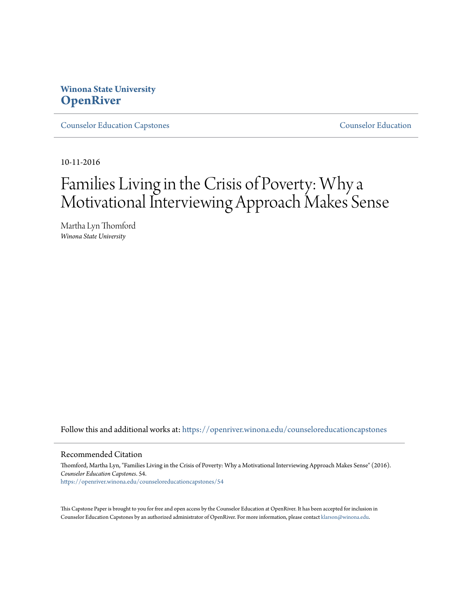# **Winona State University [OpenRiver](https://openriver.winona.edu?utm_source=openriver.winona.edu%2Fcounseloreducationcapstones%2F54&utm_medium=PDF&utm_campaign=PDFCoverPages)**

[Counselor Education Capstones](https://openriver.winona.edu/counseloreducationcapstones?utm_source=openriver.winona.edu%2Fcounseloreducationcapstones%2F54&utm_medium=PDF&utm_campaign=PDFCoverPages) [Counselor Education](https://openriver.winona.edu/counseloreducation?utm_source=openriver.winona.edu%2Fcounseloreducationcapstones%2F54&utm_medium=PDF&utm_campaign=PDFCoverPages)

10-11-2016

# Families Living in the Crisis of Poverty: Why a Motivational Interviewing Approach Makes Sense

Martha Lyn Thomford *Winona State University*

Follow this and additional works at: [https://openriver.winona.edu/counseloreducationcapstones](https://openriver.winona.edu/counseloreducationcapstones?utm_source=openriver.winona.edu%2Fcounseloreducationcapstones%2F54&utm_medium=PDF&utm_campaign=PDFCoverPages)

#### Recommended Citation

Thomford, Martha Lyn, "Families Living in the Crisis of Poverty: Why a Motivational Interviewing Approach Makes Sense" (2016). *Counselor Education Capstones*. 54. [https://openriver.winona.edu/counseloreducationcapstones/54](https://openriver.winona.edu/counseloreducationcapstones/54?utm_source=openriver.winona.edu%2Fcounseloreducationcapstones%2F54&utm_medium=PDF&utm_campaign=PDFCoverPages)

This Capstone Paper is brought to you for free and open access by the Counselor Education at OpenRiver. It has been accepted for inclusion in Counselor Education Capstones by an authorized administrator of OpenRiver. For more information, please contact [klarson@winona.edu](mailto:klarson@winona.edu).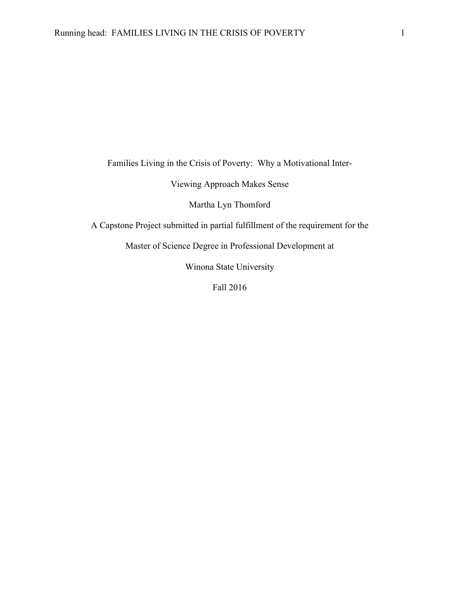Families Living in the Crisis of Poverty: Why a Motivational Inter-

Viewing Approach Makes Sense

Martha Lyn Thomford

A Capstone Project submitted in partial fulfillment of the requirement for the

Master of Science Degree in Professional Development at

Winona State University

Fall 2016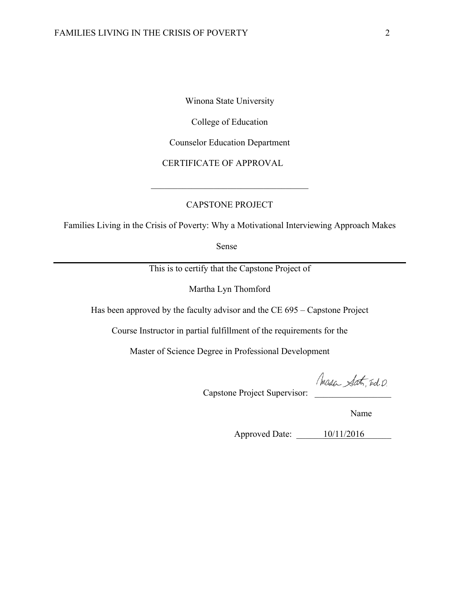Winona State University

College of Education

Counselor Education Department

CERTIFICATE OF APPROVAL

#### CAPSTONE PROJECT

 $\mathcal{L}_\text{max}$ 

Families Living in the Crisis of Poverty: Why a Motivational Interviewing Approach Makes

Sense

This is to certify that the Capstone Project of

Martha Lyn Thomford

Has been approved by the faculty advisor and the CE 695 – Capstone Project

Course Instructor in partial fulfillment of the requirements for the

Master of Science Degree in Professional Development

Capstone Project Supervisor:

Name

Approved Date: \_\_\_\_\_\_10/11/2016\_\_\_\_\_\_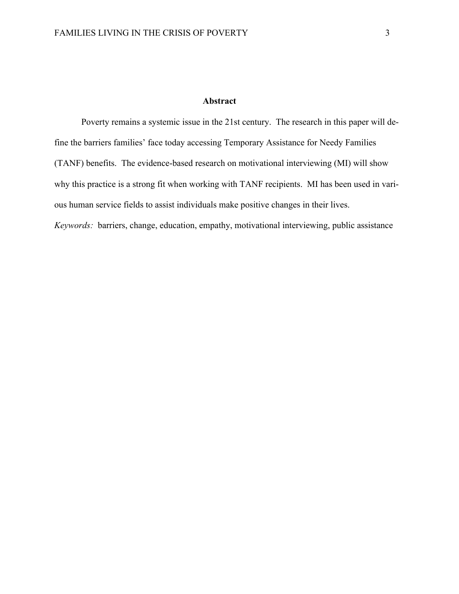#### **Abstract**

Poverty remains a systemic issue in the 21st century. The research in this paper will define the barriers families' face today accessing Temporary Assistance for Needy Families (TANF) benefits. The evidence-based research on motivational interviewing (MI) will show why this practice is a strong fit when working with TANF recipients. MI has been used in various human service fields to assist individuals make positive changes in their lives. *Keywords:* barriers, change, education, empathy, motivational interviewing, public assistance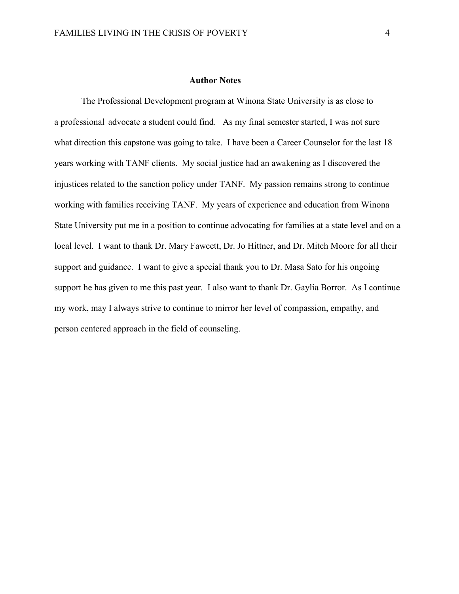#### **Author Notes**

The Professional Development program at Winona State University is as close to a professional advocate a student could find. As my final semester started, I was not sure what direction this capstone was going to take. I have been a Career Counselor for the last 18 years working with TANF clients. My social justice had an awakening as I discovered the injustices related to the sanction policy under TANF. My passion remains strong to continue working with families receiving TANF. My years of experience and education from Winona State University put me in a position to continue advocating for families at a state level and on a local level. I want to thank Dr. Mary Fawcett, Dr. Jo Hittner, and Dr. Mitch Moore for all their support and guidance. I want to give a special thank you to Dr. Masa Sato for his ongoing support he has given to me this past year. I also want to thank Dr. Gaylia Borror. As I continue my work, may I always strive to continue to mirror her level of compassion, empathy, and person centered approach in the field of counseling.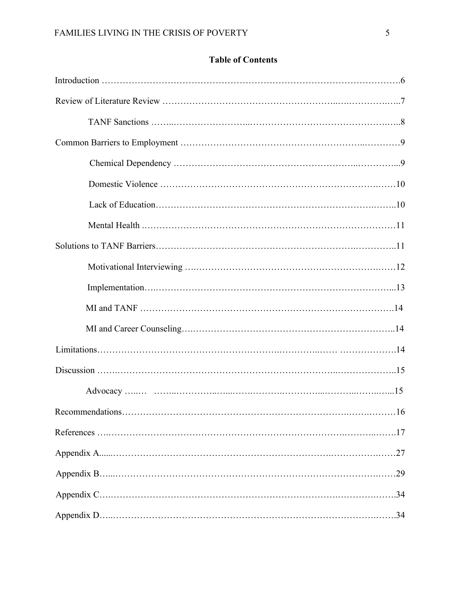# **Table of Contents** Introduction ……………………………………………………………………………………….6 Review of Literature Review …………………………………………………..….………….…..7 TANF Sanctions ……..……………………..……………………………………….…..8 Common Barriers to Employment ……………………………………………………..…………9 Chemical Dependency ……………………………………………………..…………...9 Domestic Violence ……………………………………………………………….……10 Lack of Education……………………………………………………………….……..10 Mental Health .…………………………………………………………………………11 Solutions to TANF Barriers………………………………………………………….…………..11 Motivational Interviewing ….…………………………………………………….……12 Implementation….……………………………………………………………………...13 MI and TANF ………………………………………………………………………….14 MI and Career Counseling….…………………………………………………………..14 Limitations…………………………………………………….…………..…… ……………….14 Discussion …….………………………………………………………………..………………..15 Advocacy …..… ……..…………..…...…….……….…………...………..……..…...15 Recommendations………………………………………………………………….…….………16 References ….…………………………………………………………………….………..…….17 Appendix A......……………………………………………………………….…………….……27

Appendix B…...…………………………………………………………………………….……29

Appendix D…..…………………………………………………………………………….…….34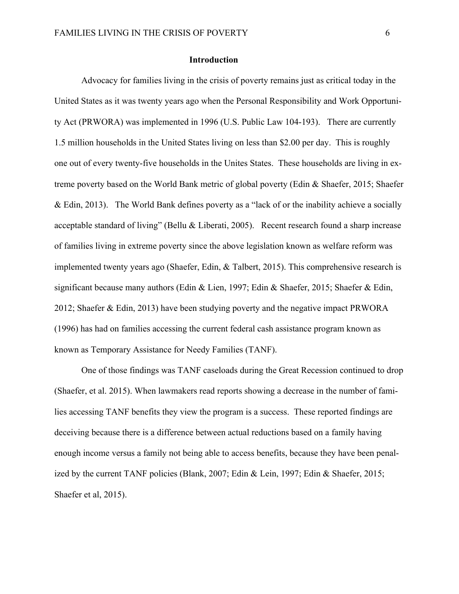#### **Introduction**

Advocacy for families living in the crisis of poverty remains just as critical today in the United States as it was twenty years ago when the Personal Responsibility and Work Opportunity Act (PRWORA) was implemented in 1996 (U.S. Public Law 104-193). There are currently 1.5 million households in the United States living on less than \$2.00 per day. This is roughly one out of every twenty-five households in the Unites States. These households are living in extreme poverty based on the World Bank metric of global poverty (Edin & Shaefer, 2015; Shaefer & Edin, 2013). The World Bank defines poverty as a "lack of or the inability achieve a socially acceptable standard of living" (Bellu & Liberati, 2005). Recent research found a sharp increase of families living in extreme poverty since the above legislation known as welfare reform was implemented twenty years ago (Shaefer, Edin, & Talbert, 2015). This comprehensive research is significant because many authors (Edin & Lien, 1997; Edin & Shaefer, 2015; Shaefer & Edin, 2012; Shaefer & Edin, 2013) have been studying poverty and the negative impact PRWORA (1996) has had on families accessing the current federal cash assistance program known as known as Temporary Assistance for Needy Families (TANF).

One of those findings was TANF caseloads during the Great Recession continued to drop (Shaefer, et al. 2015). When lawmakers read reports showing a decrease in the number of families accessing TANF benefits they view the program is a success. These reported findings are deceiving because there is a difference between actual reductions based on a family having enough income versus a family not being able to access benefits, because they have been penalized by the current TANF policies (Blank, 2007; Edin & Lein, 1997; Edin & Shaefer, 2015; Shaefer et al, 2015).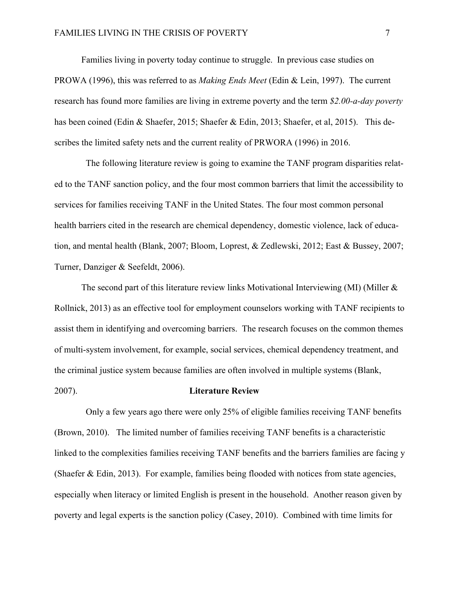Families living in poverty today continue to struggle. In previous case studies on PROWA (1996), this was referred to as *Making Ends Meet* (Edin & Lein, 1997). The current research has found more families are living in extreme poverty and the term *\$2.00-a-day poverty* has been coined (Edin & Shaefer, 2015; Shaefer & Edin, 2013; Shaefer, et al, 2015). This describes the limited safety nets and the current reality of PRWORA (1996) in 2016.

 The following literature review is going to examine the TANF program disparities related to the TANF sanction policy, and the four most common barriers that limit the accessibility to services for families receiving TANF in the United States. The four most common personal health barriers cited in the research are chemical dependency, domestic violence, lack of education, and mental health (Blank, 2007; Bloom, Loprest, & Zedlewski, 2012; East & Bussey, 2007; Turner, Danziger & Seefeldt, 2006).

The second part of this literature review links Motivational Interviewing (MI) (Miller & Rollnick, 2013) as an effective tool for employment counselors working with TANF recipients to assist them in identifying and overcoming barriers. The research focuses on the common themes of multi-system involvement, for example, social services, chemical dependency treatment, and the criminal justice system because families are often involved in multiple systems (Blank,

#### 2007). **Literature Review**

 Only a few years ago there were only 25% of eligible families receiving TANF benefits (Brown, 2010). The limited number of families receiving TANF benefits is a characteristic linked to the complexities families receiving TANF benefits and the barriers families are facing y (Shaefer & Edin, 2013). For example, families being flooded with notices from state agencies, especially when literacy or limited English is present in the household. Another reason given by poverty and legal experts is the sanction policy (Casey, 2010). Combined with time limits for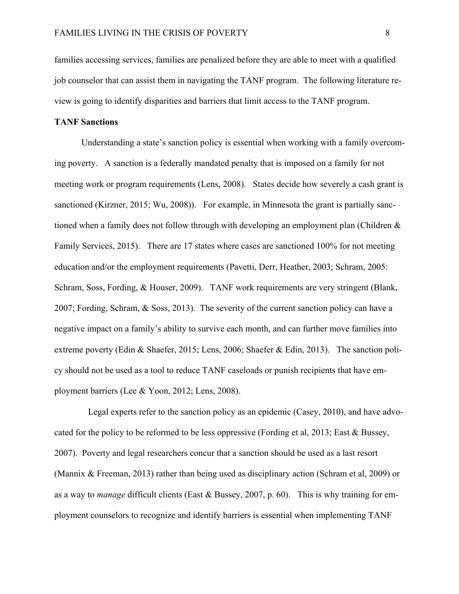families accessing services, families are penalized before they are able to meet with a qualified job counselor that can assist them in navigating the TANF program. The following literature review is going to identify disparities and barriers that limit access to the TANF program.

### **TANF Sanctions**

Understanding a state's sanction policy is essential when working with a family overcoming poverty. A sanction is a federally mandated penalty that is imposed on a family for not meeting work or program requirements (Lens, 2008). States decide how severely a cash grant is sanctioned (Kirzner, 2015; Wu, 2008)). For example, in Minnesota the grant is partially sanctioned when a family does not follow through with developing an employment plan (Children & Family Services, 2015). There are 17 states where cases are sanctioned 100% for not meeting education and/or the employment requirements (Pavetti, Derr, Heather, 2003; Schram, 2005: Schram, Soss, Fording, & Houser, 2009). TANF work requirements are very stringent (Blank, 2007; Fording, Schram, & Soss, 2013). The severity of the current sanction policy can have a negative impact on a family's ability to survive each month, and can further move families into extreme poverty (Edin & Shaefer, 2015; Lens, 2006; Shaefer & Edin, 2013). The sanction policy should not be used as a tool to reduce TANF caseloads or punish recipients that have employment barriers (Lee & Yoon, 2012; Lens, 2008).

 Legal experts refer to the sanction policy as an epidemic (Casey, 2010), and have advocated for the policy to be reformed to be less oppressive (Fording et al, 2013; East & Bussey, 2007). Poverty and legal researchers concur that a sanction should be used as a last resort (Mannix & Freeman, 2013) rather than being used as disciplinary action (Schram et al, 2009) or as a way to *manage* difficult clients (East & Bussey, 2007, p. 60). This is why training for employment counselors to recognize and identify barriers is essential when implementing TANF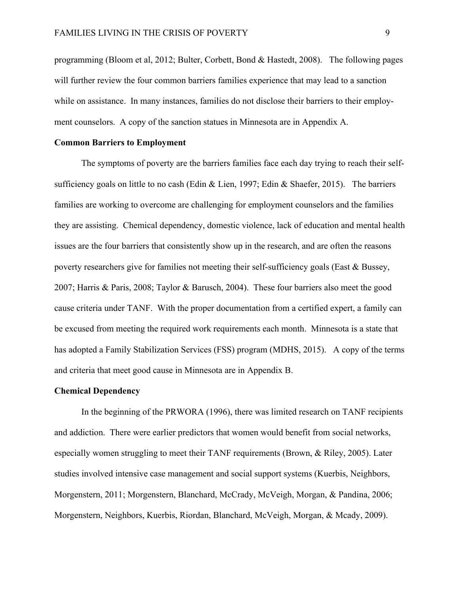programming (Bloom et al, 2012; Bulter, Corbett, Bond & Hastedt, 2008). The following pages will further review the four common barriers families experience that may lead to a sanction while on assistance. In many instances, families do not disclose their barriers to their employment counselors. A copy of the sanction statues in Minnesota are in Appendix A.

#### **Common Barriers to Employment**

The symptoms of poverty are the barriers families face each day trying to reach their selfsufficiency goals on little to no cash (Edin & Lien, 1997; Edin & Shaefer, 2015). The barriers families are working to overcome are challenging for employment counselors and the families they are assisting. Chemical dependency, domestic violence, lack of education and mental health issues are the four barriers that consistently show up in the research, and are often the reasons poverty researchers give for families not meeting their self-sufficiency goals (East & Bussey, 2007; Harris & Paris, 2008; Taylor & Barusch, 2004). These four barriers also meet the good cause criteria under TANF. With the proper documentation from a certified expert, a family can be excused from meeting the required work requirements each month. Minnesota is a state that has adopted a Family Stabilization Services (FSS) program (MDHS, 2015). A copy of the terms and criteria that meet good cause in Minnesota are in Appendix B.

#### **Chemical Dependency**

In the beginning of the PRWORA (1996), there was limited research on TANF recipients and addiction. There were earlier predictors that women would benefit from social networks, especially women struggling to meet their TANF requirements (Brown, & Riley, 2005). Later studies involved intensive case management and social support systems (Kuerbis, Neighbors, Morgenstern, 2011; Morgenstern, Blanchard, McCrady, McVeigh, Morgan, & Pandina, 2006; Morgenstern, Neighbors, Kuerbis, Riordan, Blanchard, McVeigh, Morgan, & Mcady, 2009).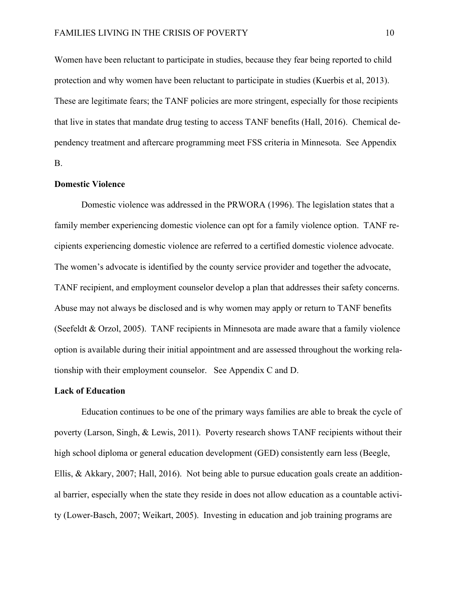Women have been reluctant to participate in studies, because they fear being reported to child protection and why women have been reluctant to participate in studies (Kuerbis et al, 2013). These are legitimate fears; the TANF policies are more stringent, especially for those recipients that live in states that mandate drug testing to access TANF benefits (Hall, 2016). Chemical dependency treatment and aftercare programming meet FSS criteria in Minnesota. See Appendix B.

#### **Domestic Violence**

Domestic violence was addressed in the PRWORA (1996). The legislation states that a family member experiencing domestic violence can opt for a family violence option. TANF recipients experiencing domestic violence are referred to a certified domestic violence advocate. The women's advocate is identified by the county service provider and together the advocate, TANF recipient, and employment counselor develop a plan that addresses their safety concerns. Abuse may not always be disclosed and is why women may apply or return to TANF benefits (Seefeldt & Orzol, 2005). TANF recipients in Minnesota are made aware that a family violence option is available during their initial appointment and are assessed throughout the working relationship with their employment counselor. See Appendix C and D.

#### **Lack of Education**

Education continues to be one of the primary ways families are able to break the cycle of poverty (Larson, Singh, & Lewis, 2011). Poverty research shows TANF recipients without their high school diploma or general education development (GED) consistently earn less (Beegle, Ellis, & Akkary, 2007; Hall, 2016). Not being able to pursue education goals create an additional barrier, especially when the state they reside in does not allow education as a countable activity (Lower-Basch, 2007; Weikart, 2005). Investing in education and job training programs are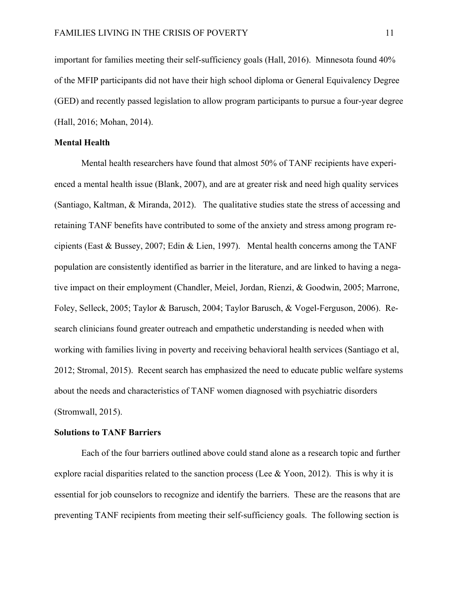important for families meeting their self-sufficiency goals (Hall, 2016). Minnesota found 40% of the MFIP participants did not have their high school diploma or General Equivalency Degree (GED) and recently passed legislation to allow program participants to pursue a four-year degree (Hall, 2016; Mohan, 2014).

#### **Mental Health**

Mental health researchers have found that almost 50% of TANF recipients have experienced a mental health issue (Blank, 2007), and are at greater risk and need high quality services (Santiago, Kaltman, & Miranda, 2012). The qualitative studies state the stress of accessing and retaining TANF benefits have contributed to some of the anxiety and stress among program recipients (East & Bussey, 2007; Edin & Lien, 1997). Mental health concerns among the TANF population are consistently identified as barrier in the literature, and are linked to having a negative impact on their employment (Chandler, Meiel, Jordan, Rienzi, & Goodwin, 2005; Marrone, Foley, Selleck, 2005; Taylor & Barusch, 2004; Taylor Barusch, & Vogel-Ferguson, 2006). Research clinicians found greater outreach and empathetic understanding is needed when with working with families living in poverty and receiving behavioral health services (Santiago et al, 2012; Stromal, 2015). Recent search has emphasized the need to educate public welfare systems about the needs and characteristics of TANF women diagnosed with psychiatric disorders (Stromwall, 2015).

#### **Solutions to TANF Barriers**

Each of the four barriers outlined above could stand alone as a research topic and further explore racial disparities related to the sanction process (Lee & Yoon, 2012). This is why it is essential for job counselors to recognize and identify the barriers. These are the reasons that are preventing TANF recipients from meeting their self-sufficiency goals. The following section is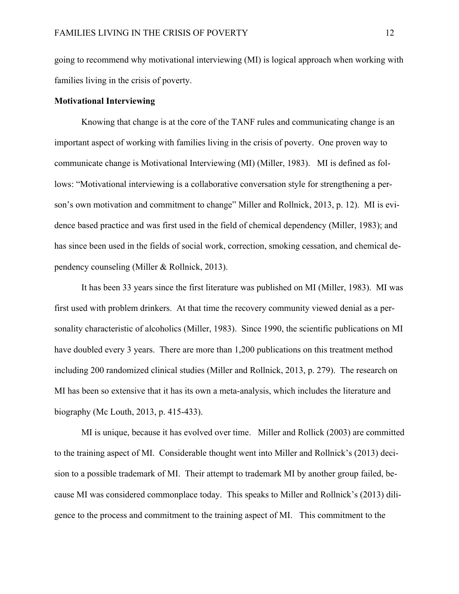going to recommend why motivational interviewing (MI) is logical approach when working with families living in the crisis of poverty.

#### **Motivational Interviewing**

Knowing that change is at the core of the TANF rules and communicating change is an important aspect of working with families living in the crisis of poverty. One proven way to communicate change is Motivational Interviewing (MI) (Miller, 1983). MI is defined as follows: "Motivational interviewing is a collaborative conversation style for strengthening a person's own motivation and commitment to change" Miller and Rollnick, 2013, p. 12). MI is evidence based practice and was first used in the field of chemical dependency (Miller, 1983); and has since been used in the fields of social work, correction, smoking cessation, and chemical dependency counseling (Miller & Rollnick, 2013).

It has been 33 years since the first literature was published on MI (Miller, 1983). MI was first used with problem drinkers. At that time the recovery community viewed denial as a personality characteristic of alcoholics (Miller, 1983). Since 1990, the scientific publications on MI have doubled every 3 years. There are more than 1,200 publications on this treatment method including 200 randomized clinical studies (Miller and Rollnick, 2013, p. 279). The research on MI has been so extensive that it has its own a meta-analysis, which includes the literature and biography (Mc Louth, 2013, p. 415-433).

MI is unique, because it has evolved over time. Miller and Rollick (2003) are committed to the training aspect of MI. Considerable thought went into Miller and Rollnick's (2013) decision to a possible trademark of MI. Their attempt to trademark MI by another group failed, because MI was considered commonplace today. This speaks to Miller and Rollnick's (2013) diligence to the process and commitment to the training aspect of MI. This commitment to the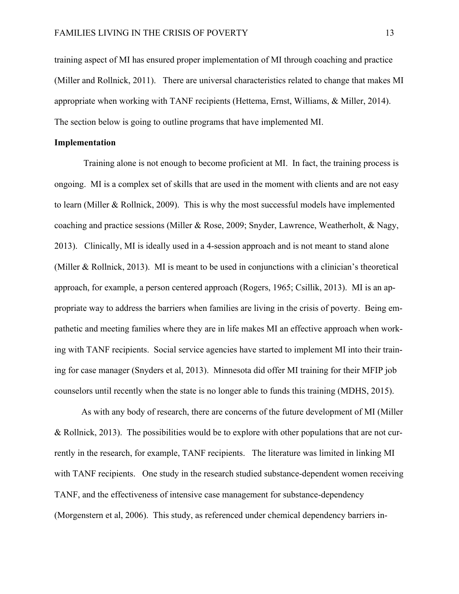training aspect of MI has ensured proper implementation of MI through coaching and practice (Miller and Rollnick, 2011). There are universal characteristics related to change that makes MI appropriate when working with TANF recipients (Hettema, Ernst, Williams, & Miller, 2014). The section below is going to outline programs that have implemented MI.

#### **Implementation**

Training alone is not enough to become proficient at MI. In fact, the training process is ongoing. MI is a complex set of skills that are used in the moment with clients and are not easy to learn (Miller & Rollnick, 2009). This is why the most successful models have implemented coaching and practice sessions (Miller & Rose, 2009; Snyder, Lawrence, Weatherholt, & Nagy, 2013). Clinically, MI is ideally used in a 4-session approach and is not meant to stand alone (Miller & Rollnick, 2013). MI is meant to be used in conjunctions with a clinician's theoretical approach, for example, a person centered approach (Rogers, 1965; Csillik, 2013). MI is an appropriate way to address the barriers when families are living in the crisis of poverty. Being empathetic and meeting families where they are in life makes MI an effective approach when working with TANF recipients. Social service agencies have started to implement MI into their training for case manager (Snyders et al, 2013). Minnesota did offer MI training for their MFIP job counselors until recently when the state is no longer able to funds this training (MDHS, 2015).

As with any body of research, there are concerns of the future development of MI (Miller & Rollnick, 2013). The possibilities would be to explore with other populations that are not currently in the research, for example, TANF recipients. The literature was limited in linking MI with TANF recipients. One study in the research studied substance-dependent women receiving TANF, and the effectiveness of intensive case management for substance-dependency (Morgenstern et al, 2006). This study, as referenced under chemical dependency barriers in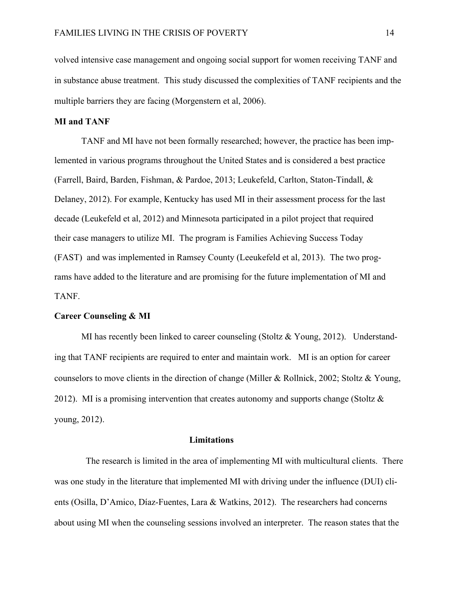volved intensive case management and ongoing social support for women receiving TANF and in substance abuse treatment. This study discussed the complexities of TANF recipients and the multiple barriers they are facing (Morgenstern et al, 2006).

#### **MI and TANF**

TANF and MI have not been formally researched; however, the practice has been implemented in various programs throughout the United States and is considered a best practice (Farrell, Baird, Barden, Fishman, & Pardoe, 2013; Leukefeld, Carlton, Staton-Tindall, & Delaney, 2012). For example, Kentucky has used MI in their assessment process for the last decade (Leukefeld et al, 2012) and Minnesota participated in a pilot project that required their case managers to utilize MI. The program is Families Achieving Success Today (FAST) and was implemented in Ramsey County (Leeukefeld et al, 2013). The two programs have added to the literature and are promising for the future implementation of MI and TANF.

#### **Career Counseling & MI**

MI has recently been linked to career counseling (Stoltz  $& Young, 2012$ ). Understanding that TANF recipients are required to enter and maintain work. MI is an option for career counselors to move clients in the direction of change (Miller & Rollnick, 2002; Stoltz & Young, 2012). MI is a promising intervention that creates autonomy and supports change (Stoltz  $\&$ young, 2012).

#### **Limitations**

 The research is limited in the area of implementing MI with multicultural clients. There was one study in the literature that implemented MI with driving under the influence (DUI) clients (Osilla, D'Amico, Díaz-Fuentes, Lara & Watkins, 2012). The researchers had concerns about using MI when the counseling sessions involved an interpreter. The reason states that the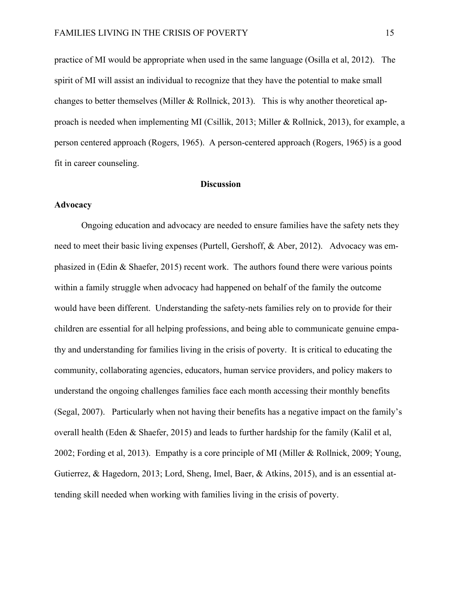practice of MI would be appropriate when used in the same language (Osilla et al, 2012). The spirit of MI will assist an individual to recognize that they have the potential to make small changes to better themselves (Miller & Rollnick, 2013). This is why another theoretical approach is needed when implementing MI (Csillik, 2013; Miller & Rollnick, 2013), for example, a person centered approach (Rogers, 1965). A person-centered approach (Rogers, 1965) is a good fit in career counseling.

#### **Discussion**

#### **Advocacy**

Ongoing education and advocacy are needed to ensure families have the safety nets they need to meet their basic living expenses (Purtell, Gershoff, & Aber, 2012). Advocacy was emphasized in (Edin & Shaefer, 2015) recent work. The authors found there were various points within a family struggle when advocacy had happened on behalf of the family the outcome would have been different. Understanding the safety-nets families rely on to provide for their children are essential for all helping professions, and being able to communicate genuine empathy and understanding for families living in the crisis of poverty. It is critical to educating the community, collaborating agencies, educators, human service providers, and policy makers to understand the ongoing challenges families face each month accessing their monthly benefits (Segal, 2007). Particularly when not having their benefits has a negative impact on the family's overall health (Eden & Shaefer, 2015) and leads to further hardship for the family (Kalil et al, 2002; Fording et al, 2013). Empathy is a core principle of MI (Miller & Rollnick, 2009; Young, Gutierrez, & Hagedorn, 2013; Lord, Sheng, Imel, Baer, & Atkins, 2015), and is an essential attending skill needed when working with families living in the crisis of poverty.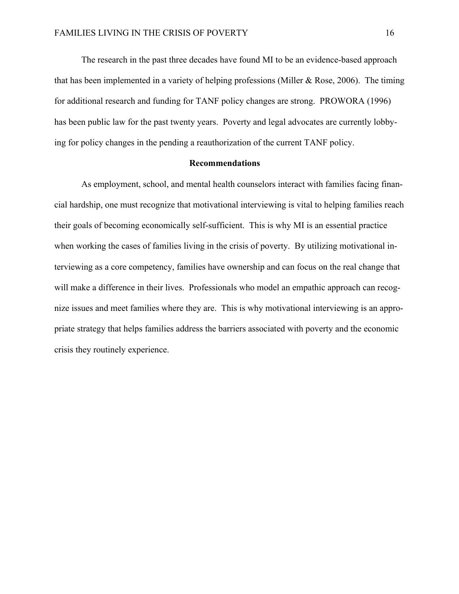The research in the past three decades have found MI to be an evidence-based approach that has been implemented in a variety of helping professions (Miller  $\&$  Rose, 2006). The timing for additional research and funding for TANF policy changes are strong. PROWORA (1996) has been public law for the past twenty years. Poverty and legal advocates are currently lobbying for policy changes in the pending a reauthorization of the current TANF policy.

#### **Recommendations**

As employment, school, and mental health counselors interact with families facing financial hardship, one must recognize that motivational interviewing is vital to helping families reach their goals of becoming economically self-sufficient. This is why MI is an essential practice when working the cases of families living in the crisis of poverty. By utilizing motivational interviewing as a core competency, families have ownership and can focus on the real change that will make a difference in their lives. Professionals who model an empathic approach can recognize issues and meet families where they are. This is why motivational interviewing is an appropriate strategy that helps families address the barriers associated with poverty and the economic crisis they routinely experience.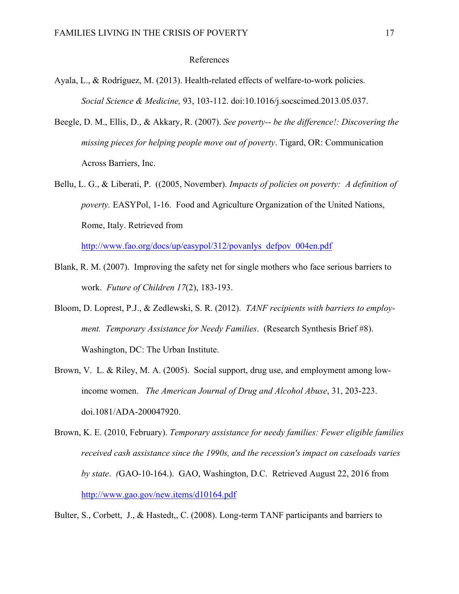#### References

- Ayala, L., & Rodríguez, M. (2013). Health-related effects of welfare-to-work policies. *Social Science & Medicine,* 93, 103-112. doi:10.1016/j.socscimed.2013.05.037.
- Beegle, D. M., Ellis, D., & Akkary, R. (2007). *See poverty-- be the difference!: Discovering the missing pieces for helping people move out of poverty*. Tigard, OR: Communication Across Barriers, Inc.
- Bellu, L. G., & Liberati, P. ((2005, November). *Impacts of policies on poverty: A definition of poverty.* EASYPol, 1-16. Food and Agriculture Organization of the United Nations, Rome, Italy. Retrieved from

http://www.fao.org/docs/up/easypol/312/povanlys\_defpov\_004en.pdf

- Blank, R. M. (2007). Improving the safety net for single mothers who face serious barriers to work. *Future of Children 17*(2), 183-193.
- Bloom, D. Loprest, P.J., & Zedlewski, S. R. (2012). *TANF recipients with barriers to employment. Temporary Assistance for Needy Families*. (Research Synthesis Brief #8). Washington, DC: The Urban Institute.
- Brown, V. L. & Riley, M. A. (2005). Social support, drug use, and employment among lowincome women. *The American Journal of Drug and Alcohol Abuse*, 31, 203-223. doi.1081/ADA-200047920.
- Brown, K. E. (2010, February). *Temporary assistance for needy families: Fewer eligible families received cash assistance since the 1990s, and the recession's impact on caseloads varies by state*. *(*GAO-10-164.). GAO, Washington, D.C. Retrieved August 22, 2016 from http://www.gao.gov/new.items/d10164.pdf

Bulter, S., Corbett, J., & Hastedt,, C. (2008). Long-term TANF participants and barriers to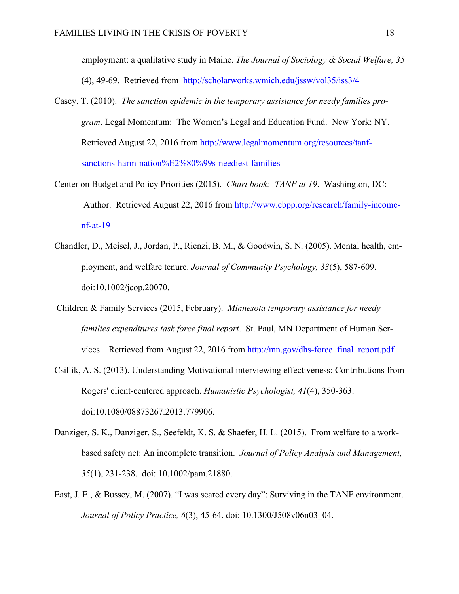employment: a qualitative study in Maine. *The Journal of Sociology & Social Welfare, 35*  (4), 49-69. Retrieved from http://scholarworks.wmich.edu/jssw/vol35/iss3/4

- Casey, T. (2010). *The sanction epidemic in the temporary assistance for needy families program*. Legal Momentum: The Women's Legal and Education Fund. New York: NY. Retrieved August 22, 2016 from http://www.legalmomentum.org/resources/tanfsanctions-harm-nation%E2%80%99s-neediest-families
- Center on Budget and Policy Priorities (2015). *Chart book: TANF at 19*. Washington, DC: Author. Retrieved August 22, 2016 from http://www.cbpp.org/research/family-incomenf-at-19
- Chandler, D., Meisel, J., Jordan, P., Rienzi, B. M., & Goodwin, S. N. (2005). Mental health, employment, and welfare tenure. *Journal of Community Psychology, 33*(5), 587-609. doi:10.1002/jcop.20070.
- Children & Family Services (2015, February). *Minnesota temporary assistance for needy families expenditures task force final report*. St. Paul, MN Department of Human Services. Retrieved from August 22, 2016 from http://mn.gov/dhs-force\_final\_report.pdf
- Csillik, A. S. (2013). Understanding Motivational interviewing effectiveness: Contributions from Rogers' client-centered approach. *Humanistic Psychologist, 41*(4), 350-363. doi:10.1080/08873267.2013.779906.
- Danziger, S. K., Danziger, S., Seefeldt, K. S. & Shaefer, H. L. (2015). From welfare to a workbased safety net: An incomplete transition. *Journal of Policy Analysis and Management, 35*(1), 231-238. doi: 10.1002/pam.21880.
- East, J. E., & Bussey, M. (2007). "I was scared every day": Surviving in the TANF environment. *Journal of Policy Practice, 6*(3), 45-64. doi: 10.1300/J508v06n03\_04.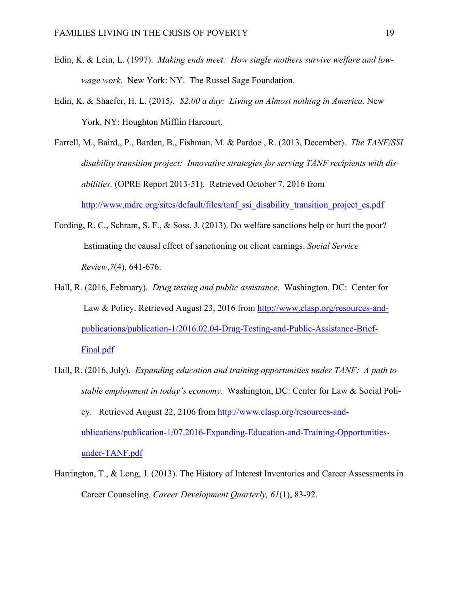- Edin, K. & Lein, L. (1997). *Making ends meet: How single mothers survive welfare and lowwage work*. New York: NY. The Russel Sage Foundation.
- Edin, K. & Shaefer, H. L. (2015*). \$2.00 a day: Living on Almost nothing in America.* New York, NY: Houghton Mifflin Harcourt.
- Farrell, M., Baird,, P., Barden, B., Fishman, M. & Pardoe , R. (2013, December). *The TANF/SSI*  disability transition project: Innovative strategies for serving TANF recipients with dis*abilities.* (OPRE Report 2013-51). Retrieved October 7, 2016 from http://www.mdrc.org/sites/default/files/tanf\_ssi\_disability\_transition\_project\_es.pdf
- Fording, R. C., Schram, S. F., & Soss, J. (2013). Do welfare sanctions help or hurt the poor? Estimating the causal effect of sanctioning on client earnings. *Social Service Review*,*7*(4), 641-676.
- Hall, R. (2016, February). *Drug testing and public assistance*. Washington, DC: Center for Law & Policy. Retrieved August 23, 2016 from http://www.clasp.org/resources-andpublications/publication-1/2016.02.04-Drug-Testing-and-Public-Assistance-Brief-Final.pdf
- Hall, R. (2016, July). *Expanding education and training opportunities under TANF: A path to stable employment in today's economy*. Washington, DC: Center for Law & Social Policy. Retrieved August 22, 2106 from http://www.clasp.org/resources-andublications/publication-1/07.2016-Expanding-Education-and-Training-Opportunitiesunder-TANF.pdf
- Harrington, T., & Long, J. (2013). The History of Interest Inventories and Career Assessments in Career Counseling. *Career Development Quarterly, 61*(1), 83-92.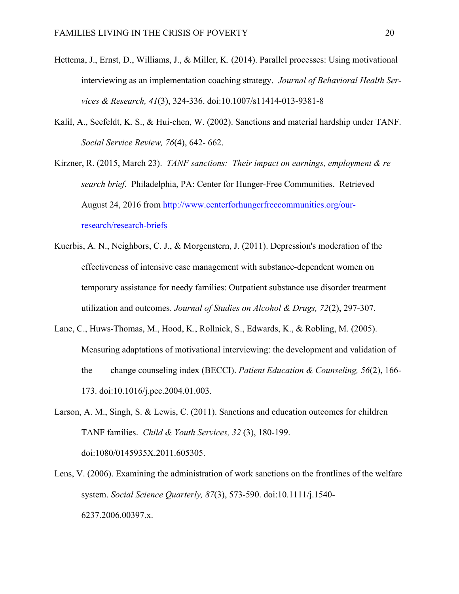- Hettema, J., Ernst, D., Williams, J., & Miller, K. (2014). Parallel processes: Using motivational interviewing as an implementation coaching strategy. *Journal of Behavioral Health Services & Research, 41*(3), 324-336. doi:10.1007/s11414-013-9381-8
- Kalil, A., Seefeldt, K. S., & Hui-chen, W. (2002). Sanctions and material hardship under TANF. *Social Service Review, 76*(4), 642- 662.
- Kirzner, R. (2015, March 23). *TANF sanctions: Their impact on earnings, employment & re search brief*. Philadelphia, PA: Center for Hunger-Free Communities. Retrieved August 24, 2016 from http://www.centerforhungerfreecommunities.org/ourresearch/research-briefs
- Kuerbis, A. N., Neighbors, C. J., & Morgenstern, J. (2011). Depression's moderation of the effectiveness of intensive case management with substance-dependent women on temporary assistance for needy families: Outpatient substance use disorder treatment utilization and outcomes. *Journal of Studies on Alcohol & Drugs, 72*(2), 297-307.
- Lane, C., Huws-Thomas, M., Hood, K., Rollnick, S., Edwards, K., & Robling, M. (2005). Measuring adaptations of motivational interviewing: the development and validation of the change counseling index (BECCI). *Patient Education & Counseling, 56*(2), 166- 173. doi:10.1016/j.pec.2004.01.003.
- Larson, A. M., Singh, S. & Lewis, C. (2011). Sanctions and education outcomes for children TANF families. *Child & Youth Services, 32* (3), 180-199. doi:1080/0145935X.2011.605305.
- Lens, V. (2006). Examining the administration of work sanctions on the frontlines of the welfare system. *Social Science Quarterly, 87*(3), 573-590. doi:10.1111/j.1540- 6237.2006.00397.x.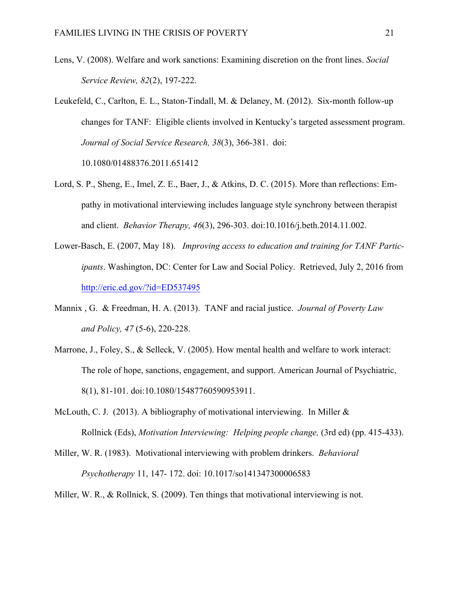- Lens, V. (2008). Welfare and work sanctions: Examining discretion on the front lines. *Social Service Review, 82*(2), 197-222.
- Leukefeld, C., Carlton, E. L., Staton-Tindall, M. & Delaney, M. (2012). Six-month follow-up changes for TANF: Eligible clients involved in Kentucky's targeted assessment program. *Journal of Social Service Research, 38*(3), 366-381. doi:

10.1080/01488376.2011.651412

- Lord, S. P., Sheng, E., Imel, Z. E., Baer, J., & Atkins, D. C. (2015). More than reflections: Empathy in motivational interviewing includes language style synchrony between therapist and client. *Behavior Therapy, 46*(3), 296-303. doi:10.1016/j.beth.2014.11.002.
- Lower-Basch, E. (2007, May 18). *Improving access to education and training for TANF Participants*. Washington, DC: Center for Law and Social Policy. Retrieved, July 2, 2016 from http://eric.ed.gov/?id=ED537495
- Mannix , G. & Freedman, H. A. (2013). TANF and racial justice. *Journal of Poverty Law and Policy, 47* (5-6), 220-228.
- Marrone, J., Foley, S., & Selleck, V. (2005). How mental health and welfare to work interact: The role of hope, sanctions, engagement, and support. American Journal of Psychiatric, 8(1), 81-101. doi:10.1080/15487760590953911.
- McLouth, C. J. (2013). A bibliography of motivational interviewing. In Miller  $\&$ Rollnick (Eds), *Motivation Interviewing: Helping people change,* (3rd ed) (pp. 415-433).
- Miller, W. R. (1983). Motivational interviewing with problem drinkers. *Behavioral Psychotherapy* 11, 147- 172. doi: 10.1017/so141347300006583
- Miller, W. R., & Rollnick, S. (2009). Ten things that motivational interviewing is not.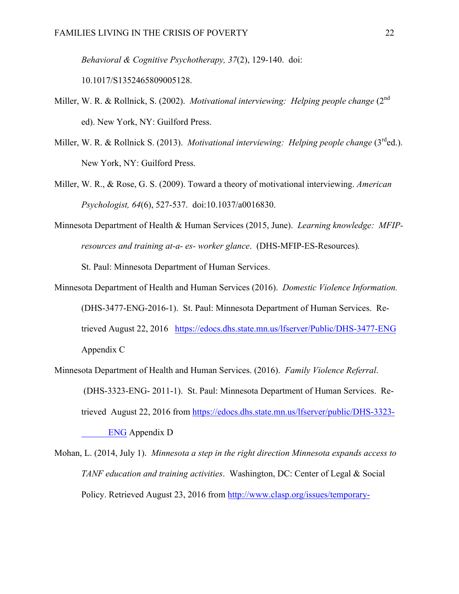*Behavioral & Cognitive Psychotherapy, 37*(2), 129-140. doi:

10.1017/S1352465809005128.

- Miller, W. R. & Rollnick, S. (2002). *Motivational interviewing: Helping people change* (2<sup>nd</sup>) ed). New York, NY: Guilford Press.
- Miller, W. R. & Rollnick S. (2013). *Motivational interviewing: Helping people change* (3<sup>rd</sup>ed.). New York, NY: Guilford Press.
- Miller, W. R., & Rose, G. S. (2009). Toward a theory of motivational interviewing. *American Psychologist, 64*(6), 527-537. doi:10.1037/a0016830.
- Minnesota Department of Health & Human Services (2015, June). *Learning knowledge: MFIPresources and training at-a- es- worker glance*. (DHS-MFIP-ES-Resources)*.*

St. Paul: Minnesota Department of Human Services.

- Minnesota Department of Health and Human Services (2016). *Domestic Violence Information.* (DHS-3477-ENG-2016-1). St. Paul: Minnesota Department of Human Services. Retrieved August 22, 2016 https://edocs.dhs.state.mn.us/lfserver/Public/DHS-3477-ENG Appendix C
- Minnesota Department of Health and Human Services. (2016). *Family Violence Referral*. (DHS-3323-ENG- 2011-1). St. Paul: Minnesota Department of Human Services. Retrieved August 22, 2016 from https://edocs.dhs.state.mn.us/lfserver/public/DHS-3323- ENG Appendix D
- Mohan, L. (2014, July 1). *Minnesota a step in the right direction Minnesota expands access to TANF education and training activities*. Washington, DC: Center of Legal & Social Policy. Retrieved August 23, 2016 from http://www.clasp.org/issues/temporary-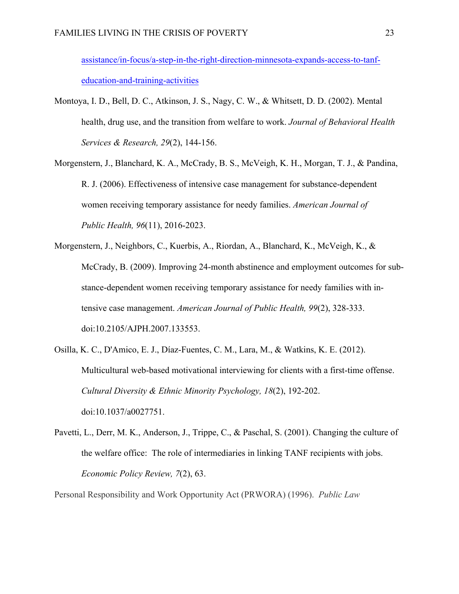assistance/in-focus/a-step-in-the-right-direction-minnesota-expands-access-to-tanfeducation-and-training-activities

- Montoya, I. D., Bell, D. C., Atkinson, J. S., Nagy, C. W., & Whitsett, D. D. (2002). Mental health, drug use, and the transition from welfare to work. *Journal of Behavioral Health Services & Research, 29*(2), 144-156.
- Morgenstern, J., Blanchard, K. A., McCrady, B. S., McVeigh, K. H., Morgan, T. J., & Pandina, R. J. (2006). Effectiveness of intensive case management for substance-dependent women receiving temporary assistance for needy families. *American Journal of Public Health, 96*(11), 2016-2023.
- Morgenstern, J., Neighbors, C., Kuerbis, A., Riordan, A., Blanchard, K., McVeigh, K., & McCrady, B. (2009). Improving 24-month abstinence and employment outcomes for substance-dependent women receiving temporary assistance for needy families with intensive case management. *American Journal of Public Health, 99*(2), 328-333. doi:10.2105/AJPH.2007.133553.
- Osilla, K. C., D'Amico, E. J., Díaz-Fuentes, C. M., Lara, M., & Watkins, K. E. (2012). Multicultural web-based motivational interviewing for clients with a first-time offense. *Cultural Diversity & Ethnic Minority Psychology, 18*(2), 192-202. doi:10.1037/a0027751.
- Pavetti, L., Derr, M. K., Anderson, J., Trippe, C., & Paschal, S. (2001). Changing the culture of the welfare office: The role of intermediaries in linking TANF recipients with jobs. *Economic Policy Review, 7*(2), 63.

Personal Responsibility and Work Opportunity Act (PRWORA) (1996). *Public Law*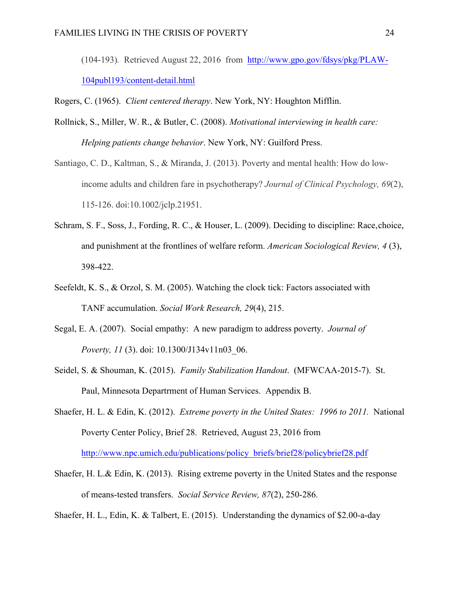(104-193)*.* Retrieved August 22, 2016 from http://www.gpo.gov/fdsys/pkg/PLAW-104publ193/content-detail.html

Rogers, C. (1965). *Client centered therapy*. New York, NY: Houghton Mifflin.

- Rollnick, S., Miller, W. R., & Butler, C. (2008). *Motivational interviewing in health care: Helping patients change behavior*. New York, NY: Guilford Press.
- Santiago, C. D., Kaltman, S., & Miranda, J. (2013). Poverty and mental health: How do lowincome adults and children fare in psychotherapy? *Journal of Clinical Psychology, 69*(2), 115-126. doi:10.1002/jclp.21951.
- Schram, S. F., Soss, J., Fording, R. C., & Houser, L. (2009). Deciding to discipline: Race,choice, and punishment at the frontlines of welfare reform. *American Sociological Review, 4* (3), 398-422.
- Seefeldt, K. S., & Orzol, S. M. (2005). Watching the clock tick: Factors associated with TANF accumulation. *Social Work Research, 29*(4), 215.
- Segal, E. A. (2007). Social empathy: A new paradigm to address poverty. *Journal of Poverty, 11* (3). doi: 10.1300/J134v11n03\_06.
- Seidel, S. & Shouman, K. (2015). *Family Stabilization Handout*. (MFWCAA-2015-7). St. Paul, Minnesota Departrment of Human Services. Appendix B.
- Shaefer, H. L. & Edin, K. (2012). *Extreme poverty in the United States: 1996 to 2011.* National Poverty Center Policy, Brief 28. Retrieved, August 23, 2016 from http://www.npc.umich.edu/publications/policy\_briefs/brief28/policybrief28.pdf
- Shaefer, H. L.& Edin, K. (2013). Rising extreme poverty in the United States and the response of means-tested transfers. *Social Service Review, 87*(2), 250-286.

Shaefer, H. L., Edin, K. & Talbert, E. (2015). Understanding the dynamics of \$2.00-a-day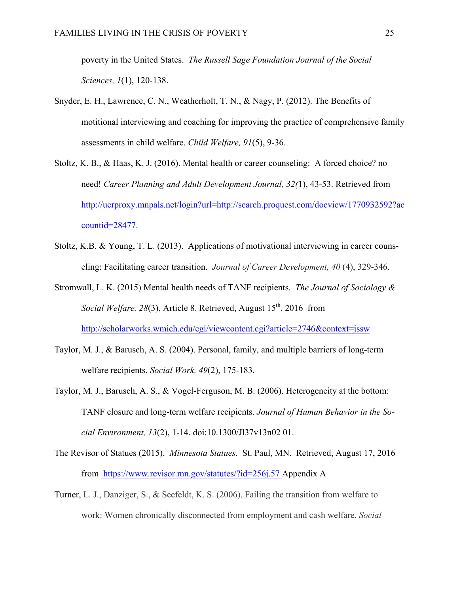poverty in the United States. *The Russell Sage Foundation Journal of the Social Sciences, 1*(1), 120-138.

- Snyder, E. H., Lawrence, C. N., Weatherholt, T. N., & Nagy, P. (2012). The Benefits of motitional interviewing and coaching for improving the practice of comprehensive family assessments in child welfare. *Child Welfare, 91*(5), 9-36.
- Stoltz, K. B., & Haas, K. J. (2016). Mental health or career counseling: A forced choice? no need! *Career Planning and Adult Development Journal, 32(*1), 43-53. Retrieved from http://ucrproxy.mnpals.net/login?url=http://search.proquest.com/docview/1770932592?ac countid=28477.
- Stoltz, K.B. & Young, T. L. (2013). Applications of motivational interviewing in career counseling: Facilitating career transition. *Journal of Career Development, 40* (4), 329-346.
- Stromwall, L. K. (2015) Mental health needs of TANF recipients. *The Journal of Sociology & Social Welfare, 28(3), Article 8. Retrieved, August 15<sup>th</sup>, 2016 from* http://scholarworks.wmich.edu/cgi/viewcontent.cgi?article=2746&context=jssw
- Taylor, M. J., & Barusch, A. S. (2004). Personal, family, and multiple barriers of long-term welfare recipients. *Social Work, 49*(2), 175-183.
- Taylor, M. J., Barusch, A. S., & Vogel-Ferguson, M. B. (2006). Heterogeneity at the bottom: TANF closure and long-term welfare recipients. *Journal of Human Behavior in the Social Environment, 13*(2), 1-14. doi:10.1300/Jl37v13n02 01.
- The Revisor of Statues (2015). *Minnesota Statues.* St. Paul, MN. Retrieved, August 17, 2016 from https://www.revisor.mn.gov/statutes/?id=256j.57 Appendix A
- Turner, L. J., Danziger, S., & Seefeldt, K. S. (2006). Failing the transition from welfare to work: Women chronically disconnected from employment and cash welfare. *Social*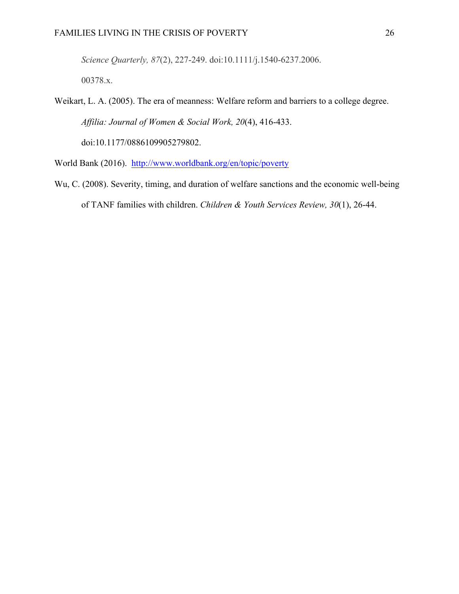*Science Quarterly, 87*(2), 227-249. doi:10.1111/j.1540-6237.2006.

00378.x.

Weikart, L. A. (2005). The era of meanness: Welfare reform and barriers to a college degree. *Affilia: Journal of Women & Social Work, 20*(4), 416-433. doi:10.1177/0886109905279802.

World Bank (2016). http://www.worldbank.org/en/topic/poverty

Wu, C. (2008). Severity, timing, and duration of welfare sanctions and the economic well-being of TANF families with children. *Children & Youth Services Review, 30*(1), 26-44.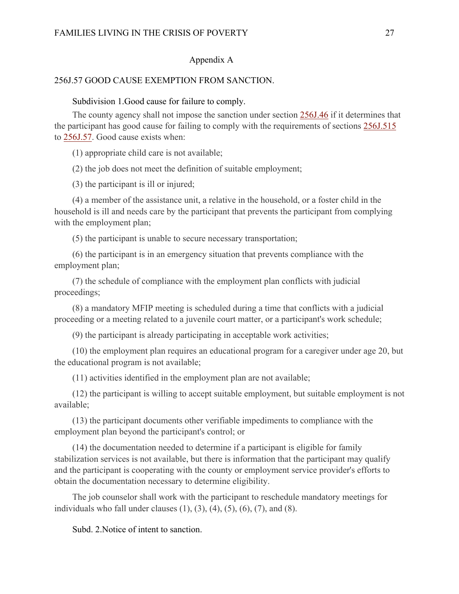#### Appendix A

#### 256J.57 GOOD CAUSE EXEMPTION FROM SANCTION.

#### Subdivision 1.Good cause for failure to comply.

The county agency shall not impose the sanction under section 256J.46 if it determines that the participant has good cause for failing to comply with the requirements of sections 256J.515 to 256J.57. Good cause exists when:

(1) appropriate child care is not available;

(2) the job does not meet the definition of suitable employment;

(3) the participant is ill or injured;

(4) a member of the assistance unit, a relative in the household, or a foster child in the household is ill and needs care by the participant that prevents the participant from complying with the employment plan;

(5) the participant is unable to secure necessary transportation;

(6) the participant is in an emergency situation that prevents compliance with the employment plan;

(7) the schedule of compliance with the employment plan conflicts with judicial proceedings;

(8) a mandatory MFIP meeting is scheduled during a time that conflicts with a judicial proceeding or a meeting related to a juvenile court matter, or a participant's work schedule;

(9) the participant is already participating in acceptable work activities;

(10) the employment plan requires an educational program for a caregiver under age 20, but the educational program is not available;

(11) activities identified in the employment plan are not available;

(12) the participant is willing to accept suitable employment, but suitable employment is not available;

(13) the participant documents other verifiable impediments to compliance with the employment plan beyond the participant's control; or

(14) the documentation needed to determine if a participant is eligible for family stabilization services is not available, but there is information that the participant may qualify and the participant is cooperating with the county or employment service provider's efforts to obtain the documentation necessary to determine eligibility.

The job counselor shall work with the participant to reschedule mandatory meetings for individuals who fall under clauses  $(1)$ ,  $(3)$ ,  $(4)$ ,  $(5)$ ,  $(6)$ ,  $(7)$ , and  $(8)$ .

Subd. 2.Notice of intent to sanction.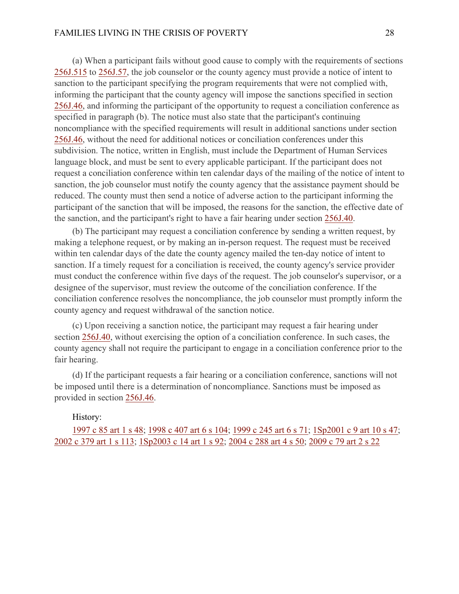(a) When a participant fails without good cause to comply with the requirements of sections 256J.515 to 256J.57, the job counselor or the county agency must provide a notice of intent to sanction to the participant specifying the program requirements that were not complied with, informing the participant that the county agency will impose the sanctions specified in section 256J.46, and informing the participant of the opportunity to request a conciliation conference as specified in paragraph (b). The notice must also state that the participant's continuing noncompliance with the specified requirements will result in additional sanctions under section 256J.46, without the need for additional notices or conciliation conferences under this subdivision. The notice, written in English, must include the Department of Human Services language block, and must be sent to every applicable participant. If the participant does not request a conciliation conference within ten calendar days of the mailing of the notice of intent to sanction, the job counselor must notify the county agency that the assistance payment should be reduced. The county must then send a notice of adverse action to the participant informing the participant of the sanction that will be imposed, the reasons for the sanction, the effective date of the sanction, and the participant's right to have a fair hearing under section 256J.40.

(b) The participant may request a conciliation conference by sending a written request, by making a telephone request, or by making an in-person request. The request must be received within ten calendar days of the date the county agency mailed the ten-day notice of intent to sanction. If a timely request for a conciliation is received, the county agency's service provider must conduct the conference within five days of the request. The job counselor's supervisor, or a designee of the supervisor, must review the outcome of the conciliation conference. If the conciliation conference resolves the noncompliance, the job counselor must promptly inform the county agency and request withdrawal of the sanction notice.

(c) Upon receiving a sanction notice, the participant may request a fair hearing under section 256J.40, without exercising the option of a conciliation conference. In such cases, the county agency shall not require the participant to engage in a conciliation conference prior to the fair hearing.

(d) If the participant requests a fair hearing or a conciliation conference, sanctions will not be imposed until there is a determination of noncompliance. Sanctions must be imposed as provided in section 256J.46.

#### History:

1997 c 85 art 1 s 48; 1998 c 407 art 6 s 104; 1999 c 245 art 6 s 71; 1Sp2001 c 9 art 10 s 47; 2002 c 379 art 1 s 113; 1Sp2003 c 14 art 1 s 92; 2004 c 288 art 4 s 50; 2009 c 79 art 2 s 22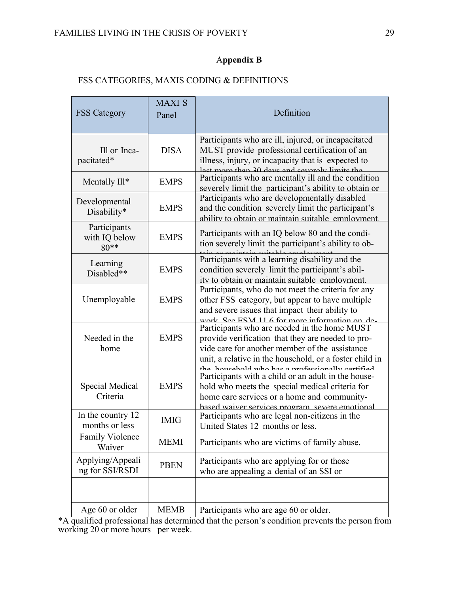# A**ppendix B**

# FSS CATEGORIES, MAXIS CODING & DEFINITIONS

| <b>FSS</b> Category                     | <b>MAXI S</b><br>Panel | Definition                                                                                                                                                                                                                                                         |
|-----------------------------------------|------------------------|--------------------------------------------------------------------------------------------------------------------------------------------------------------------------------------------------------------------------------------------------------------------|
| Ill or Inca-<br>pacitated*              | <b>DISA</b>            | Participants who are ill, injured, or incapacitated<br>MUST provide professional certification of an<br>illness, injury, or incapacity that is expected to<br>ot more than 30 days and severally limits the                                                        |
| Mentally Ill*                           | <b>EMPS</b>            | Participants who are mentally ill and the condition<br>severely limit the participant's ability to obtain or                                                                                                                                                       |
| Developmental<br>Disability*            | <b>EMPS</b>            | Participants who are developmentally disabled<br>and the condition severely limit the participant's<br>ability to obtain or maintain suitable employment                                                                                                           |
| Participants<br>with IQ below<br>$80**$ | <b>EMPS</b>            | Participants with an IQ below 80 and the condi-<br>tion severely limit the participant's ability to ob-                                                                                                                                                            |
| Learning<br>Disabled**                  | <b>EMPS</b>            | Participants with a learning disability and the<br>condition severely limit the participant's abil-<br>ity to obtain or maintain suitable employment.                                                                                                              |
| Unemployable                            | <b>EMPS</b>            | Participants, who do not meet the criteria for any<br>other FSS category, but appear to have multiple<br>and severe issues that impact their ability to<br>work See ESM 11.6 for more information on de.                                                           |
| Needed in the<br>home                   | <b>EMPS</b>            | Participants who are needed in the home MUST<br>provide verification that they are needed to pro-<br>vide care for another member of the assistance<br>unit, a relative in the household, or a foster child in<br>the household who has a professionally certified |
| Special Medical<br>Criteria             | <b>EMPS</b>            | Participants with a child or an adult in the house-<br>hold who meets the special medical criteria for<br>home care services or a home and community-<br>hased waiver services program severe emotional                                                            |
| In the country 12<br>months or less     | <b>IMIG</b>            | Participants who are legal non-citizens in the<br>United States 12 months or less.                                                                                                                                                                                 |
| <b>Family Violence</b><br>Waiver        | <b>MEMI</b>            | Participants who are victims of family abuse.                                                                                                                                                                                                                      |
| Applying/Appeali<br>ng for SSI/RSDI     | <b>PBEN</b>            | Participants who are applying for or those<br>who are appealing a denial of an SSI or                                                                                                                                                                              |
|                                         |                        |                                                                                                                                                                                                                                                                    |
| Age 60 or older                         | <b>MEMB</b>            | Participants who are age 60 or older.                                                                                                                                                                                                                              |

\*A qualified professional has determined that the person's condition prevents the person from working 20 or more hours per week.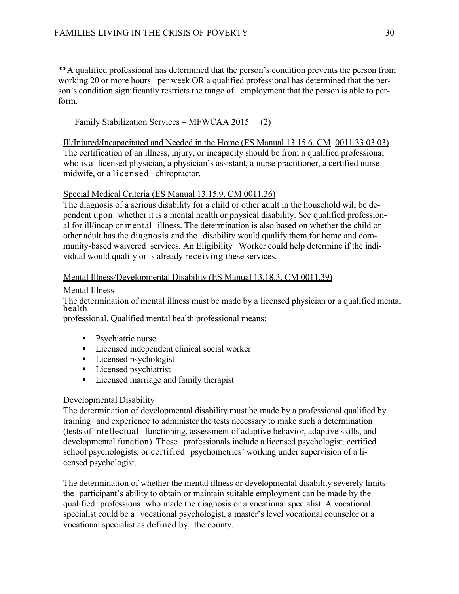\*\*A qualified professional has determined that the person's condition prevents the person from working 20 or more hours per week OR a qualified professional has determined that the person's condition significantly restricts the range of employment that the person is able to perform.

Family Stabilization Services – MFWCAA 2015 (2)

Ill/Injured/Incapacitated and Needed in the Home (ES Manual 13.15.6, CM 0011.33.03.03) The certification of an illness, injury, or incapacity should be from a qualified professional who is a licensed physician, a physician's assistant, a nurse practitioner, a certified nurse midwife, or a licensed chiropractor.

### Special Medical Criteria (ES Manual 13.15.9, CM 0011.36)

The diagnosis of a serious disability for a child or other adult in the household will be dependent upon whether it is a mental health or physical disability. See qualified professional for ill/incap or mental illness. The determination is also based on whether the child or other adult has the diagnosis and the disability would qualify them for home and community-based waivered services. An Eligibility Worker could help determine if the individual would qualify or is already receiving these services.

#### Mental Illness/Developmental Disability (ES Manual 13.18.3, CM 0011.39)

#### Mental Illness

The determination of mental illness must be made by a licensed physician or a qualified mental health

professional. Qualified mental health professional means:

- Psychiatric nurse
- Licensed independent clinical social worker
- Licensed psychologist
- Licensed psychiatrist
- Licensed marriage and family therapist

### Developmental Disability

The determination of developmental disability must be made by a professional qualified by training and experience to administer the tests necessary to make such a determination (tests of intellectual functioning, assessment of adaptive behavior, adaptive skills, and developmental function). These professionals include a licensed psychologist, certified school psychologists, or certified psychometrics' working under supervision of a licensed psychologist.

The determination of whether the mental illness or developmental disability severely limits the participant's ability to obtain or maintain suitable employment can be made by the qualified professional who made the diagnosis or a vocational specialist. A vocational specialist could be a vocational psychologist, a master's level vocational counselor or a vocational specialist as defined by the county.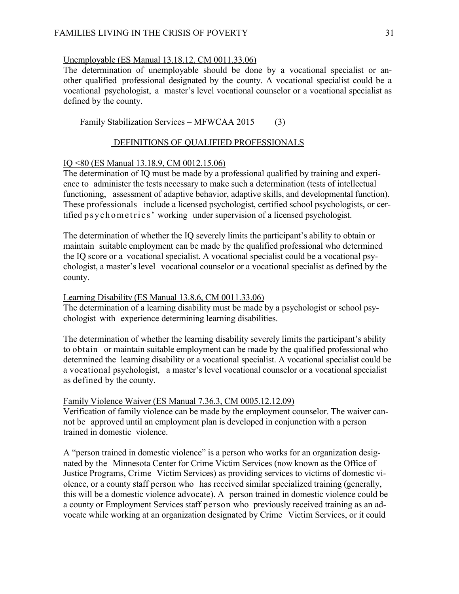#### Unemployable (ES Manual 13.18.12, CM 0011.33.06)

The determination of unemployable should be done by a vocational specialist or another qualified professional designated by the county. A vocational specialist could be a vocational psychologist, a master's level vocational counselor or a vocational specialist as defined by the county.

Family Stabilization Services – MFWCAA 2015 (3)

### DEFINITIONS OF QUALIFIED PROFESSIONALS

#### IQ <80 (ES Manual 13.18.9, CM 0012.15.06)

The determination of IQ must be made by a professional qualified by training and experience to administer the tests necessary to make such a determination (tests of intellectual functioning, assessment of adaptive behavior, adaptive skills, and developmental function). These professionals include a licensed psychologist, certified school psychologists, or certified psychometrics' working under supervision of a licensed psychologist.

The determination of whether the IQ severely limits the participant's ability to obtain or maintain suitable employment can be made by the qualified professional who determined the IQ score or a vocational specialist. A vocational specialist could be a vocational psychologist, a master's level vocational counselor or a vocational specialist as defined by the county.

#### Learning Disability (ES Manual 13.8.6, CM 0011.33.06)

The determination of a learning disability must be made by a psychologist or school psychologist with experience determining learning disabilities.

The determination of whether the learning disability severely limits the participant's ability to obtain or maintain suitable employment can be made by the qualified professional who determined the learning disability or a vocational specialist. A vocational specialist could be a vocational psychologist, a master's level vocational counselor or a vocational specialist as defined by the county.

#### Family Violence Waiver (ES Manual 7.36.3, CM 0005.12.12.09)

Verification of family violence can be made by the employment counselor. The waiver cannot be approved until an employment plan is developed in conjunction with a person trained in domestic violence.

A "person trained in domestic violence" is a person who works for an organization designated by the Minnesota Center for Crime Victim Services (now known as the Office of Justice Programs, Crime Victim Services) as providing services to victims of domestic violence, or a county staff person who has received similar specialized training (generally, this will be a domestic violence advocate). A person trained in domestic violence could be a county or Employment Services staff person who previously received training as an advocate while working at an organization designated by Crime Victim Services, or it could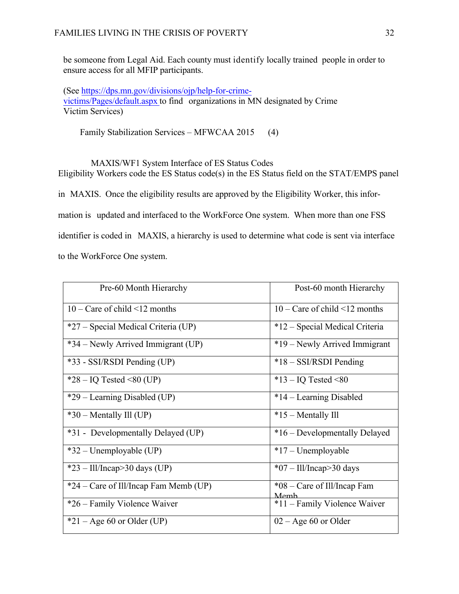be someone from Legal Aid. Each county must identify locally trained people in order to ensure access for all MFIP participants.

(See https://dps.mn.gov/divisions/ojp/help-for-crimevictims/Pages/default.aspx to find organizations in MN designated by Crime Victim Services)

Family Stabilization Services – MFWCAA 2015 (4)

MAXIS/WF1 System Interface of ES Status Codes Eligibility Workers code the ES Status code(s) in the ES Status field on the STAT/EMPS panel in MAXIS. Once the eligibility results are approved by the Eligibility Worker, this information is updated and interfaced to the WorkForce One system. When more than one FSS identifier is coded in MAXIS, a hierarchy is used to determine what code is sent via interface to the WorkForce One system.

| Pre-60 Month Hierarchy                                        | Post-60 month Hierarchy                                  |
|---------------------------------------------------------------|----------------------------------------------------------|
| $10 - \text{Care of child} \leq 12 \text{ months}$            | $10 - \text{Care of child} \leq 12 \text{ months}$       |
| *27 – Special Medical Criteria (UP)                           | *12 – Special Medical Criteria                           |
| *34 - Newly Arrived Immigrant (UP)                            | *19 – Newly Arrived Immigrant                            |
| *33 - SSI/RSDI Pending (UP)                                   | $*18 - SSIRSDI$ Pending                                  |
| $*28 - IQ$ Tested <80 (UP)                                    | $*13 - IQ$ Tested <80                                    |
| *29 – Learning Disabled (UP)                                  | *14 - Learning Disabled                                  |
| $*30$ – Mentally Ill (UP)                                     | $*15$ – Mentally Ill                                     |
| *31 - Developmentally Delayed (UP)                            | *16 – Developmentally Delayed                            |
| $*32$ – Unemployable (UP)                                     | $*17 - U$ nemployable                                    |
| $*23 - \frac{\text{III}}{\text{mean}} > 30 \text{ days (UP)}$ | $*07 - \frac{\text{III}}{\text{mean}} > 30 \text{ days}$ |
| *24 – Care of Ill/Incap Fam Memb (UP)                         | *08 – Care of Ill/Incap Fam<br>Memh                      |
| *26 – Family Violence Waiver                                  | *11 – Family Violence Waiver                             |
| $*21 - Age 60$ or Older (UP)                                  | $02 - Age\ 60$ or Older                                  |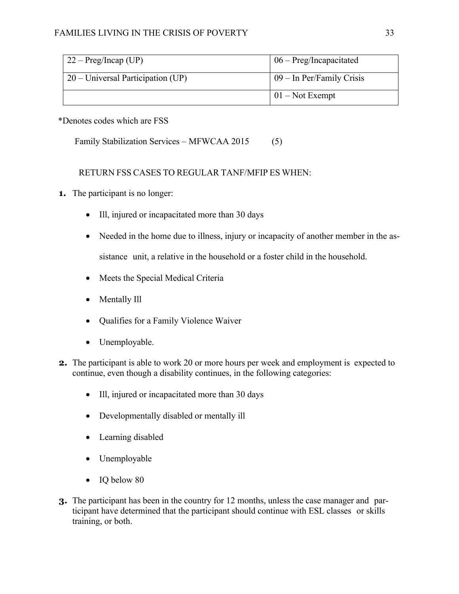# FAMILIES LIVING IN THE CRISIS OF POVERTY 33

| $22 - Preg/Incap (UP)$              | $06 - Preg/Incapacitated$   |
|-------------------------------------|-----------------------------|
| $20$ – Universal Participation (UP) | $09$ – In Per/Family Crisis |
|                                     | $01 - Not$ Exempt           |

## \*Denotes codes which are FSS

Family Stabilization Services – MFWCAA 2015 (5)

## RETURN FSS CASES TO REGULAR TANF/MFIP ES WHEN:

- **1.** The participant is no longer:
	- Ill, injured or incapacitated more than 30 days
	- Needed in the home due to illness, injury or incapacity of another member in the assistance unit, a relative in the household or a foster child in the household.
	- Meets the Special Medical Criteria
	- Mentally Ill
	- Qualifies for a Family Violence Waiver
	- Unemployable.
- **2.** The participant is able to work 20 or more hours per week and employment is expected to continue, even though a disability continues, in the following categories:
	- Ill, injured or incapacitated more than 30 days
	- Developmentally disabled or mentally ill
	- Learning disabled
	- Unemployable
	- IQ below 80
- **3.** The participant has been in the country for 12 months, unless the case manager and participant have determined that the participant should continue with ESL classes or skills training, or both.